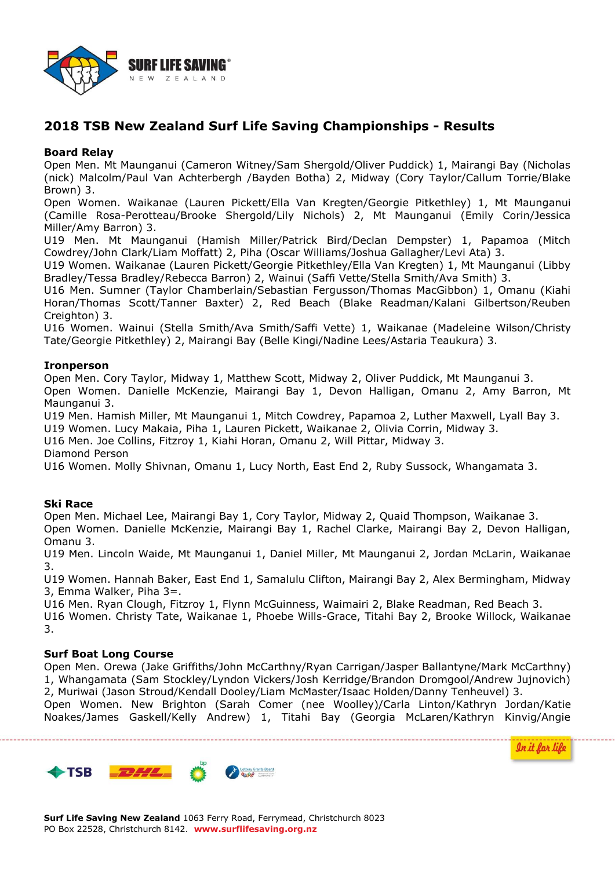

# **2018 TSB New Zealand Surf Life Saving Championships - Results**

#### **Board Relay**

Open Men. Mt Maunganui (Cameron Witney/Sam Shergold/Oliver Puddick) 1, Mairangi Bay (Nicholas (nick) Malcolm/Paul Van Achterbergh /Bayden Botha) 2, Midway (Cory Taylor/Callum Torrie/Blake Brown) 3.

Open Women. Waikanae (Lauren Pickett/Ella Van Kregten/Georgie Pitkethley) 1, Mt Maunganui (Camille Rosa-Perotteau/Brooke Shergold/Lily Nichols) 2, Mt Maunganui (Emily Corin/Jessica Miller/Amy Barron) 3.

U19 Men. Mt Maunganui (Hamish Miller/Patrick Bird/Declan Dempster) 1, Papamoa (Mitch Cowdrey/John Clark/Liam Moffatt) 2, Piha (Oscar Williams/Joshua Gallagher/Levi Ata) 3.

U19 Women. Waikanae (Lauren Pickett/Georgie Pitkethley/Ella Van Kregten) 1, Mt Maunganui (Libby Bradley/Tessa Bradley/Rebecca Barron) 2, Wainui (Saffi Vette/Stella Smith/Ava Smith) 3.

U16 Men. Sumner (Taylor Chamberlain/Sebastian Fergusson/Thomas MacGibbon) 1, Omanu (Kiahi Horan/Thomas Scott/Tanner Baxter) 2, Red Beach (Blake Readman/Kalani Gilbertson/Reuben Creighton) 3.

U16 Women. Wainui (Stella Smith/Ava Smith/Saffi Vette) 1, Waikanae (Madeleine Wilson/Christy Tate/Georgie Pitkethley) 2, Mairangi Bay (Belle Kingi/Nadine Lees/Astaria Teaukura) 3.

#### **Ironperson**

Open Men. Cory Taylor, Midway 1, Matthew Scott, Midway 2, Oliver Puddick, Mt Maunganui 3. Open Women. Danielle McKenzie, Mairangi Bay 1, Devon Halligan, Omanu 2, Amy Barron, Mt Maunganui 3.

U19 Men. Hamish Miller, Mt Maunganui 1, Mitch Cowdrey, Papamoa 2, Luther Maxwell, Lyall Bay 3.

U19 Women. Lucy Makaia, Piha 1, Lauren Pickett, Waikanae 2, Olivia Corrin, Midway 3.

U16 Men. Joe Collins, Fitzroy 1, Kiahi Horan, Omanu 2, Will Pittar, Midway 3.

Diamond Person

U16 Women. Molly Shivnan, Omanu 1, Lucy North, East End 2, Ruby Sussock, Whangamata 3.

# **Ski Race**

Open Men. Michael Lee, Mairangi Bay 1, Cory Taylor, Midway 2, Quaid Thompson, Waikanae 3.

Open Women. Danielle McKenzie, Mairangi Bay 1, Rachel Clarke, Mairangi Bay 2, Devon Halligan, Omanu 3.

U19 Men. Lincoln Waide, Mt Maunganui 1, Daniel Miller, Mt Maunganui 2, Jordan McLarin, Waikanae 3.

U19 Women. Hannah Baker, East End 1, Samalulu Clifton, Mairangi Bay 2, Alex Bermingham, Midway 3, Emma Walker, Piha 3=.

U16 Men. Ryan Clough, Fitzroy 1, Flynn McGuinness, Waimairi 2, Blake Readman, Red Beach 3. U16 Women. Christy Tate, Waikanae 1, Phoebe Wills-Grace, Titahi Bay 2, Brooke Willock, Waikanae 3.

# **Surf Boat Long Course**

Open Men. Orewa (Jake Griffiths/John McCarthny/Ryan Carrigan/Jasper Ballantyne/Mark McCarthny) 1, Whangamata (Sam Stockley/Lyndon Vickers/Josh Kerridge/Brandon Dromgool/Andrew Jujnovich) 2, Muriwai (Jason Stroud/Kendall Dooley/Liam McMaster/Isaac Holden/Danny Tenheuvel) 3.

Open Women. New Brighton (Sarah Comer (nee Woolley)/Carla Linton/Kathryn Jordan/Katie Noakes/James Gaskell/Kelly Andrew) 1, Titahi Bay (Georgia McLaren/Kathryn Kinvig/Angie



In it for life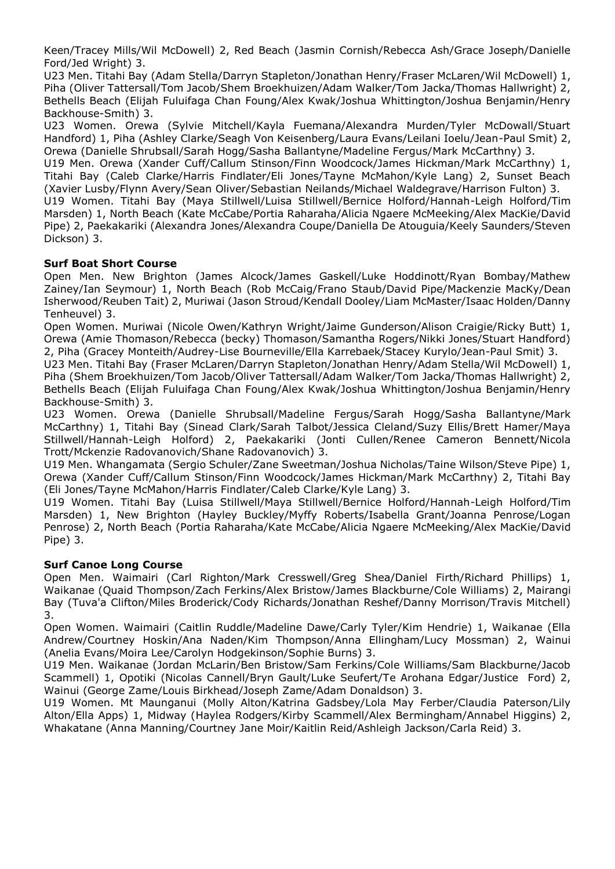Keen/Tracey Mills/Wil McDowell) 2, Red Beach (Jasmin Cornish/Rebecca Ash/Grace Joseph/Danielle Ford/Jed Wright) 3.

U23 Men. Titahi Bay (Adam Stella/Darryn Stapleton/Jonathan Henry/Fraser McLaren/Wil McDowell) 1, Piha (Oliver Tattersall/Tom Jacob/Shem Broekhuizen/Adam Walker/Tom Jacka/Thomas Hallwright) 2, Bethells Beach (Elijah Fuluifaga Chan Foung/Alex Kwak/Joshua Whittington/Joshua Benjamin/Henry Backhouse-Smith) 3.

U23 Women. Orewa (Sylvie Mitchell/Kayla Fuemana/Alexandra Murden/Tyler McDowall/Stuart Handford) 1, Piha (Ashley Clarke/Seagh Von Keisenberg/Laura Evans/Leilani Ioelu/Jean-Paul Smit) 2, Orewa (Danielle Shrubsall/Sarah Hogg/Sasha Ballantyne/Madeline Fergus/Mark McCarthny) 3.

U19 Men. Orewa (Xander Cuff/Callum Stinson/Finn Woodcock/James Hickman/Mark McCarthny) 1, Titahi Bay (Caleb Clarke/Harris Findlater/Eli Jones/Tayne McMahon/Kyle Lang) 2, Sunset Beach (Xavier Lusby/Flynn Avery/Sean Oliver/Sebastian Neilands/Michael Waldegrave/Harrison Fulton) 3. U19 Women. Titahi Bay (Maya Stillwell/Luisa Stillwell/Bernice Holford/Hannah-Leigh Holford/Tim

Marsden) 1, North Beach (Kate McCabe/Portia Raharaha/Alicia Ngaere McMeeking/Alex MacKie/David Pipe) 2, Paekakariki (Alexandra Jones/Alexandra Coupe/Daniella De Atouguia/Keely Saunders/Steven Dickson) 3.

# **Surf Boat Short Course**

Open Men. New Brighton (James Alcock/James Gaskell/Luke Hoddinott/Ryan Bombay/Mathew Zainey/Ian Seymour) 1, North Beach (Rob McCaig/Frano Staub/David Pipe/Mackenzie MacKy/Dean Isherwood/Reuben Tait) 2, Muriwai (Jason Stroud/Kendall Dooley/Liam McMaster/Isaac Holden/Danny Tenheuvel) 3.

Open Women. Muriwai (Nicole Owen/Kathryn Wright/Jaime Gunderson/Alison Craigie/Ricky Butt) 1, Orewa (Amie Thomason/Rebecca (becky) Thomason/Samantha Rogers/Nikki Jones/Stuart Handford) 2, Piha (Gracey Monteith/Audrey-Lise Bourneville/Ella Karrebaek/Stacey Kurylo/Jean-Paul Smit) 3.

U23 Men. Titahi Bay (Fraser McLaren/Darryn Stapleton/Jonathan Henry/Adam Stella/Wil McDowell) 1, Piha (Shem Broekhuizen/Tom Jacob/Oliver Tattersall/Adam Walker/Tom Jacka/Thomas Hallwright) 2, Bethells Beach (Elijah Fuluifaga Chan Foung/Alex Kwak/Joshua Whittington/Joshua Benjamin/Henry Backhouse-Smith) 3.

U23 Women. Orewa (Danielle Shrubsall/Madeline Fergus/Sarah Hogg/Sasha Ballantyne/Mark McCarthny) 1, Titahi Bay (Sinead Clark/Sarah Talbot/Jessica Cleland/Suzy Ellis/Brett Hamer/Maya Stillwell/Hannah-Leigh Holford) 2, Paekakariki (Jonti Cullen/Renee Cameron Bennett/Nicola Trott/Mckenzie Radovanovich/Shane Radovanovich) 3.

U19 Men. Whangamata (Sergio Schuler/Zane Sweetman/Joshua Nicholas/Taine Wilson/Steve Pipe) 1, Orewa (Xander Cuff/Callum Stinson/Finn Woodcock/James Hickman/Mark McCarthny) 2, Titahi Bay (Eli Jones/Tayne McMahon/Harris Findlater/Caleb Clarke/Kyle Lang) 3.

U19 Women. Titahi Bay (Luisa Stillwell/Maya Stillwell/Bernice Holford/Hannah-Leigh Holford/Tim Marsden) 1, New Brighton (Hayley Buckley/Myffy Roberts/Isabella Grant/Joanna Penrose/Logan Penrose) 2, North Beach (Portia Raharaha/Kate McCabe/Alicia Ngaere McMeeking/Alex MacKie/David Pipe) 3.

# **Surf Canoe Long Course**

Open Men. Waimairi (Carl Righton/Mark Cresswell/Greg Shea/Daniel Firth/Richard Phillips) 1, Waikanae (Quaid Thompson/Zach Ferkins/Alex Bristow/James Blackburne/Cole Williams) 2, Mairangi Bay (Tuva'a Clifton/Miles Broderick/Cody Richards/Jonathan Reshef/Danny Morrison/Travis Mitchell) 3.

Open Women. Waimairi (Caitlin Ruddle/Madeline Dawe/Carly Tyler/Kim Hendrie) 1, Waikanae (Ella Andrew/Courtney Hoskin/Ana Naden/Kim Thompson/Anna Ellingham/Lucy Mossman) 2, Wainui (Anelia Evans/Moira Lee/Carolyn Hodgekinson/Sophie Burns) 3.

U19 Men. Waikanae (Jordan McLarin/Ben Bristow/Sam Ferkins/Cole Williams/Sam Blackburne/Jacob Scammell) 1, Opotiki (Nicolas Cannell/Bryn Gault/Luke Seufert/Te Arohana Edgar/Justice Ford) 2, Wainui (George Zame/Louis Birkhead/Joseph Zame/Adam Donaldson) 3.

U19 Women. Mt Maunganui (Molly Alton/Katrina Gadsbey/Lola May Ferber/Claudia Paterson/Lily Alton/Ella Apps) 1, Midway (Haylea Rodgers/Kirby Scammell/Alex Bermingham/Annabel Higgins) 2, Whakatane (Anna Manning/Courtney Jane Moir/Kaitlin Reid/Ashleigh Jackson/Carla Reid) 3.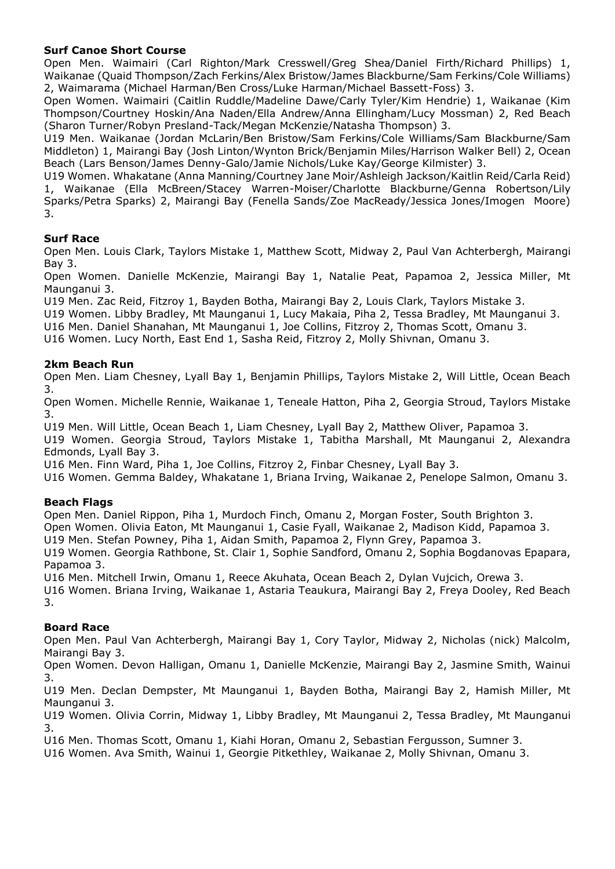# **Surf Canoe Short Course**

Open Men. Waimairi (Carl Righton/Mark Cresswell/Greg Shea/Daniel Firth/Richard Phillips) 1, Waikanae (Quaid Thompson/Zach Ferkins/Alex Bristow/James Blackburne/Sam Ferkins/Cole Williams) 2, Waimarama (Michael Harman/Ben Cross/Luke Harman/Michael Bassett-Foss) 3.

Open Women. Waimairi (Caitlin Ruddle/Madeline Dawe/Carly Tyler/Kim Hendrie) 1, Waikanae (Kim Thompson/Courtney Hoskin/Ana Naden/Ella Andrew/Anna Ellingham/Lucy Mossman) 2, Red Beach (Sharon Turner/Robyn Presland-Tack/Megan McKenzie/Natasha Thompson) 3.

U19 Men. Waikanae (Jordan McLarin/Ben Bristow/Sam Ferkins/Cole Williams/Sam Blackburne/Sam Middleton) 1, Mairangi Bay (Josh Linton/Wynton Brick/Benjamin Miles/Harrison Walker Bell) 2, Ocean Beach (Lars Benson/James Denny-Galo/Jamie Nichols/Luke Kay/George Kilmister) 3.

U19 Women. Whakatane (Anna Manning/Courtney Jane Moir/Ashleigh Jackson/Kaitlin Reid/Carla Reid) 1, Waikanae (Ella McBreen/Stacey Warren-Moiser/Charlotte Blackburne/Genna Robertson/Lily Sparks/Petra Sparks) 2, Mairangi Bay (Fenella Sands/Zoe MacReady/Jessica Jones/Imogen Moore) 3.

# **Surf Race**

Open Men. Louis Clark, Taylors Mistake 1, Matthew Scott, Midway 2, Paul Van Achterbergh, Mairangi Bay 3.

Open Women. Danielle McKenzie, Mairangi Bay 1, Natalie Peat, Papamoa 2, Jessica Miller, Mt Maunganui 3.

U19 Men. Zac Reid, Fitzroy 1, Bayden Botha, Mairangi Bay 2, Louis Clark, Taylors Mistake 3.

U19 Women. Libby Bradley, Mt Maunganui 1, Lucy Makaia, Piha 2, Tessa Bradley, Mt Maunganui 3.

U16 Men. Daniel Shanahan, Mt Maunganui 1, Joe Collins, Fitzroy 2, Thomas Scott, Omanu 3.

U16 Women. Lucy North, East End 1, Sasha Reid, Fitzroy 2, Molly Shivnan, Omanu 3.

#### **2km Beach Run**

Open Men. Liam Chesney, Lyall Bay 1, Benjamin Phillips, Taylors Mistake 2, Will Little, Ocean Beach 3.

Open Women. Michelle Rennie, Waikanae 1, Teneale Hatton, Piha 2, Georgia Stroud, Taylors Mistake 3.

U19 Men. Will Little, Ocean Beach 1, Liam Chesney, Lyall Bay 2, Matthew Oliver, Papamoa 3.

U19 Women. Georgia Stroud, Taylors Mistake 1, Tabitha Marshall, Mt Maunganui 2, Alexandra Edmonds, Lyall Bay 3.

U16 Men. Finn Ward, Piha 1, Joe Collins, Fitzroy 2, Finbar Chesney, Lyall Bay 3.

U16 Women. Gemma Baldey, Whakatane 1, Briana Irving, Waikanae 2, Penelope Salmon, Omanu 3.

#### **Beach Flags**

Open Men. Daniel Rippon, Piha 1, Murdoch Finch, Omanu 2, Morgan Foster, South Brighton 3.

Open Women. Olivia Eaton, Mt Maunganui 1, Casie Fyall, Waikanae 2, Madison Kidd, Papamoa 3.

U19 Men. Stefan Powney, Piha 1, Aidan Smith, Papamoa 2, Flynn Grey, Papamoa 3.

U19 Women. Georgia Rathbone, St. Clair 1, Sophie Sandford, Omanu 2, Sophia Bogdanovas Epapara, Papamoa 3.

U16 Men. Mitchell Irwin, Omanu 1, Reece Akuhata, Ocean Beach 2, Dylan Vujcich, Orewa 3.

U16 Women. Briana Irving, Waikanae 1, Astaria Teaukura, Mairangi Bay 2, Freya Dooley, Red Beach 3.

#### **Board Race**

Open Men. Paul Van Achterbergh, Mairangi Bay 1, Cory Taylor, Midway 2, Nicholas (nick) Malcolm, Mairangi Bay 3.

Open Women. Devon Halligan, Omanu 1, Danielle McKenzie, Mairangi Bay 2, Jasmine Smith, Wainui 3.

U19 Men. Declan Dempster, Mt Maunganui 1, Bayden Botha, Mairangi Bay 2, Hamish Miller, Mt Maunganui 3.

U19 Women. Olivia Corrin, Midway 1, Libby Bradley, Mt Maunganui 2, Tessa Bradley, Mt Maunganui 3.

U16 Men. Thomas Scott, Omanu 1, Kiahi Horan, Omanu 2, Sebastian Fergusson, Sumner 3.

U16 Women. Ava Smith, Wainui 1, Georgie Pitkethley, Waikanae 2, Molly Shivnan, Omanu 3.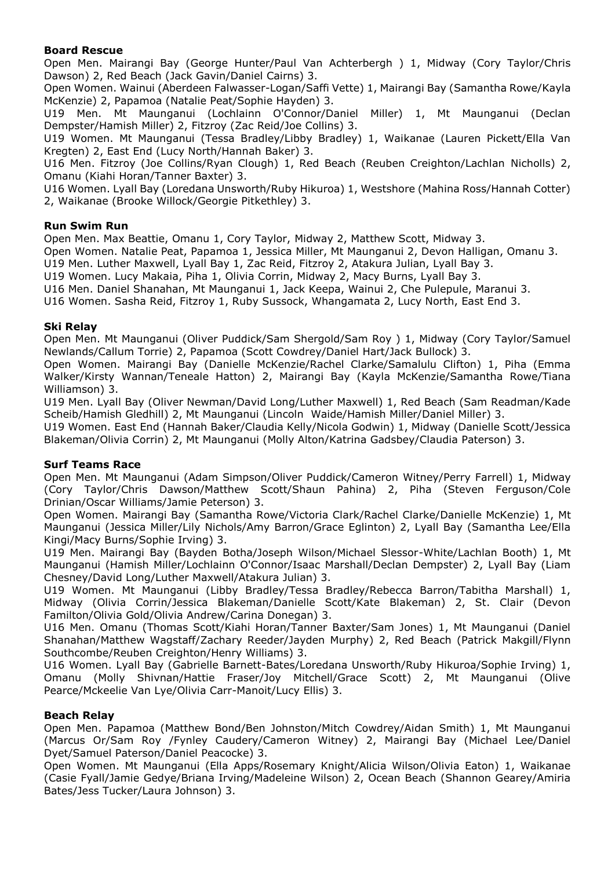#### **Board Rescue**

Open Men. Mairangi Bay (George Hunter/Paul Van Achterbergh ) 1, Midway (Cory Taylor/Chris Dawson) 2, Red Beach (Jack Gavin/Daniel Cairns) 3.

Open Women. Wainui (Aberdeen Falwasser-Logan/Saffi Vette) 1, Mairangi Bay (Samantha Rowe/Kayla McKenzie) 2, Papamoa (Natalie Peat/Sophie Hayden) 3.

U19 Men. Mt Maunganui (Lochlainn O'Connor/Daniel Miller) 1, Mt Maunganui (Declan Dempster/Hamish Miller) 2, Fitzroy (Zac Reid/Joe Collins) 3.

U19 Women. Mt Maunganui (Tessa Bradley/Libby Bradley) 1, Waikanae (Lauren Pickett/Ella Van Kregten) 2, East End (Lucy North/Hannah Baker) 3.

U16 Men. Fitzroy (Joe Collins/Ryan Clough) 1, Red Beach (Reuben Creighton/Lachlan Nicholls) 2, Omanu (Kiahi Horan/Tanner Baxter) 3.

U16 Women. Lyall Bay (Loredana Unsworth/Ruby Hikuroa) 1, Westshore (Mahina Ross/Hannah Cotter) 2, Waikanae (Brooke Willock/Georgie Pitkethley) 3.

#### **Run Swim Run**

Open Men. Max Beattie, Omanu 1, Cory Taylor, Midway 2, Matthew Scott, Midway 3.

Open Women. Natalie Peat, Papamoa 1, Jessica Miller, Mt Maunganui 2, Devon Halligan, Omanu 3.

U19 Men. Luther Maxwell, Lyall Bay 1, Zac Reid, Fitzroy 2, Atakura Julian, Lyall Bay 3.

U19 Women. Lucy Makaia, Piha 1, Olivia Corrin, Midway 2, Macy Burns, Lyall Bay 3.

U16 Men. Daniel Shanahan, Mt Maunganui 1, Jack Keepa, Wainui 2, Che Pulepule, Maranui 3.

U16 Women. Sasha Reid, Fitzroy 1, Ruby Sussock, Whangamata 2, Lucy North, East End 3.

#### **Ski Relay**

Open Men. Mt Maunganui (Oliver Puddick/Sam Shergold/Sam Roy ) 1, Midway (Cory Taylor/Samuel Newlands/Callum Torrie) 2, Papamoa (Scott Cowdrey/Daniel Hart/Jack Bullock) 3.

Open Women. Mairangi Bay (Danielle McKenzie/Rachel Clarke/Samalulu Clifton) 1, Piha (Emma Walker/Kirsty Wannan/Teneale Hatton) 2, Mairangi Bay (Kayla McKenzie/Samantha Rowe/Tiana Williamson) 3.

U19 Men. Lyall Bay (Oliver Newman/David Long/Luther Maxwell) 1, Red Beach (Sam Readman/Kade Scheib/Hamish Gledhill) 2, Mt Maunganui (Lincoln Waide/Hamish Miller/Daniel Miller) 3.

U19 Women. East End (Hannah Baker/Claudia Kelly/Nicola Godwin) 1, Midway (Danielle Scott/Jessica Blakeman/Olivia Corrin) 2, Mt Maunganui (Molly Alton/Katrina Gadsbey/Claudia Paterson) 3.

#### **Surf Teams Race**

Open Men. Mt Maunganui (Adam Simpson/Oliver Puddick/Cameron Witney/Perry Farrell) 1, Midway (Cory Taylor/Chris Dawson/Matthew Scott/Shaun Pahina) 2, Piha (Steven Ferguson/Cole Drinian/Oscar Williams/Jamie Peterson) 3.

Open Women. Mairangi Bay (Samantha Rowe/Victoria Clark/Rachel Clarke/Danielle McKenzie) 1, Mt Maunganui (Jessica Miller/Lily Nichols/Amy Barron/Grace Eglinton) 2, Lyall Bay (Samantha Lee/Ella Kingi/Macy Burns/Sophie Irving) 3.

U19 Men. Mairangi Bay (Bayden Botha/Joseph Wilson/Michael Slessor-White/Lachlan Booth) 1, Mt Maunganui (Hamish Miller/Lochlainn O'Connor/Isaac Marshall/Declan Dempster) 2, Lyall Bay (Liam Chesney/David Long/Luther Maxwell/Atakura Julian) 3.

U19 Women. Mt Maunganui (Libby Bradley/Tessa Bradley/Rebecca Barron/Tabitha Marshall) 1, Midway (Olivia Corrin/Jessica Blakeman/Danielle Scott/Kate Blakeman) 2, St. Clair (Devon Familton/Olivia Gold/Olivia Andrew/Carina Donegan) 3.

U16 Men. Omanu (Thomas Scott/Kiahi Horan/Tanner Baxter/Sam Jones) 1, Mt Maunganui (Daniel Shanahan/Matthew Wagstaff/Zachary Reeder/Jayden Murphy) 2, Red Beach (Patrick Makgill/Flynn Southcombe/Reuben Creighton/Henry Williams) 3.

U16 Women. Lyall Bay (Gabrielle Barnett-Bates/Loredana Unsworth/Ruby Hikuroa/Sophie Irving) 1, Omanu (Molly Shivnan/Hattie Fraser/Joy Mitchell/Grace Scott) 2, Mt Maunganui (Olive Pearce/Mckeelie Van Lye/Olivia Carr-Manoit/Lucy Ellis) 3.

#### **Beach Relay**

Open Men. Papamoa (Matthew Bond/Ben Johnston/Mitch Cowdrey/Aidan Smith) 1, Mt Maunganui (Marcus Or/Sam Roy /Fynley Caudery/Cameron Witney) 2, Mairangi Bay (Michael Lee/Daniel Dyet/Samuel Paterson/Daniel Peacocke) 3.

Open Women. Mt Maunganui (Ella Apps/Rosemary Knight/Alicia Wilson/Olivia Eaton) 1, Waikanae (Casie Fyall/Jamie Gedye/Briana Irving/Madeleine Wilson) 2, Ocean Beach (Shannon Gearey/Amiria Bates/Jess Tucker/Laura Johnson) 3.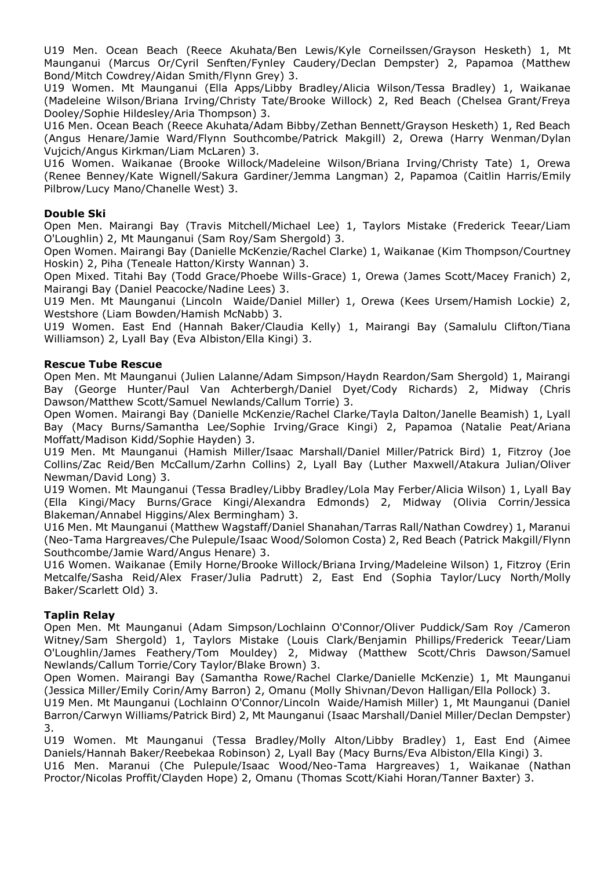U19 Men. Ocean Beach (Reece Akuhata/Ben Lewis/Kyle Corneilssen/Grayson Hesketh) 1, Mt Maunganui (Marcus Or/Cyril Senften/Fynley Caudery/Declan Dempster) 2, Papamoa (Matthew Bond/Mitch Cowdrey/Aidan Smith/Flynn Grey) 3.

U19 Women. Mt Maunganui (Ella Apps/Libby Bradley/Alicia Wilson/Tessa Bradley) 1, Waikanae (Madeleine Wilson/Briana Irving/Christy Tate/Brooke Willock) 2, Red Beach (Chelsea Grant/Freya Dooley/Sophie Hildesley/Aria Thompson) 3.

U16 Men. Ocean Beach (Reece Akuhata/Adam Bibby/Zethan Bennett/Grayson Hesketh) 1, Red Beach (Angus Henare/Jamie Ward/Flynn Southcombe/Patrick Makgill) 2, Orewa (Harry Wenman/Dylan Vujcich/Angus Kirkman/Liam McLaren) 3.

U16 Women. Waikanae (Brooke Willock/Madeleine Wilson/Briana Irving/Christy Tate) 1, Orewa (Renee Benney/Kate Wignell/Sakura Gardiner/Jemma Langman) 2, Papamoa (Caitlin Harris/Emily Pilbrow/Lucy Mano/Chanelle West) 3.

#### **Double Ski**

Open Men. Mairangi Bay (Travis Mitchell/Michael Lee) 1, Taylors Mistake (Frederick Teear/Liam O'Loughlin) 2, Mt Maunganui (Sam Roy/Sam Shergold) 3.

Open Women. Mairangi Bay (Danielle McKenzie/Rachel Clarke) 1, Waikanae (Kim Thompson/Courtney Hoskin) 2, Piha (Teneale Hatton/Kirsty Wannan) 3.

Open Mixed. Titahi Bay (Todd Grace/Phoebe Wills-Grace) 1, Orewa (James Scott/Macey Franich) 2, Mairangi Bay (Daniel Peacocke/Nadine Lees) 3.

U19 Men. Mt Maunganui (Lincoln Waide/Daniel Miller) 1, Orewa (Kees Ursem/Hamish Lockie) 2, Westshore (Liam Bowden/Hamish McNabb) 3.

U19 Women. East End (Hannah Baker/Claudia Kelly) 1, Mairangi Bay (Samalulu Clifton/Tiana Williamson) 2, Lyall Bay (Eva Albiston/Ella Kingi) 3.

#### **Rescue Tube Rescue**

Open Men. Mt Maunganui (Julien Lalanne/Adam Simpson/Haydn Reardon/Sam Shergold) 1, Mairangi Bay (George Hunter/Paul Van Achterbergh/Daniel Dyet/Cody Richards) 2, Midway (Chris Dawson/Matthew Scott/Samuel Newlands/Callum Torrie) 3.

Open Women. Mairangi Bay (Danielle McKenzie/Rachel Clarke/Tayla Dalton/Janelle Beamish) 1, Lyall Bay (Macy Burns/Samantha Lee/Sophie Irving/Grace Kingi) 2, Papamoa (Natalie Peat/Ariana Moffatt/Madison Kidd/Sophie Hayden) 3.

U19 Men. Mt Maunganui (Hamish Miller/Isaac Marshall/Daniel Miller/Patrick Bird) 1, Fitzroy (Joe Collins/Zac Reid/Ben McCallum/Zarhn Collins) 2, Lyall Bay (Luther Maxwell/Atakura Julian/Oliver Newman/David Long) 3.

U19 Women. Mt Maunganui (Tessa Bradley/Libby Bradley/Lola May Ferber/Alicia Wilson) 1, Lyall Bay (Ella Kingi/Macy Burns/Grace Kingi/Alexandra Edmonds) 2, Midway (Olivia Corrin/Jessica Blakeman/Annabel Higgins/Alex Bermingham) 3.

U16 Men. Mt Maunganui (Matthew Wagstaff/Daniel Shanahan/Tarras Rall/Nathan Cowdrey) 1, Maranui (Neo-Tama Hargreaves/Che Pulepule/Isaac Wood/Solomon Costa) 2, Red Beach (Patrick Makgill/Flynn Southcombe/Jamie Ward/Angus Henare) 3.

U16 Women. Waikanae (Emily Horne/Brooke Willock/Briana Irving/Madeleine Wilson) 1, Fitzroy (Erin Metcalfe/Sasha Reid/Alex Fraser/Julia Padrutt) 2, East End (Sophia Taylor/Lucy North/Molly Baker/Scarlett Old) 3.

#### **Taplin Relay**

Open Men. Mt Maunganui (Adam Simpson/Lochlainn O'Connor/Oliver Puddick/Sam Roy /Cameron Witney/Sam Shergold) 1, Taylors Mistake (Louis Clark/Benjamin Phillips/Frederick Teear/Liam O'Loughlin/James Feathery/Tom Mouldey) 2, Midway (Matthew Scott/Chris Dawson/Samuel Newlands/Callum Torrie/Cory Taylor/Blake Brown) 3.

Open Women. Mairangi Bay (Samantha Rowe/Rachel Clarke/Danielle McKenzie) 1, Mt Maunganui (Jessica Miller/Emily Corin/Amy Barron) 2, Omanu (Molly Shivnan/Devon Halligan/Ella Pollock) 3.

U19 Men. Mt Maunganui (Lochlainn O'Connor/Lincoln Waide/Hamish Miller) 1, Mt Maunganui (Daniel Barron/Carwyn Williams/Patrick Bird) 2, Mt Maunganui (Isaac Marshall/Daniel Miller/Declan Dempster) 3.

U19 Women. Mt Maunganui (Tessa Bradley/Molly Alton/Libby Bradley) 1, East End (Aimee Daniels/Hannah Baker/Reebekaa Robinson) 2, Lyall Bay (Macy Burns/Eva Albiston/Ella Kingi) 3.

U16 Men. Maranui (Che Pulepule/Isaac Wood/Neo-Tama Hargreaves) 1, Waikanae (Nathan Proctor/Nicolas Proffit/Clayden Hope) 2, Omanu (Thomas Scott/Kiahi Horan/Tanner Baxter) 3.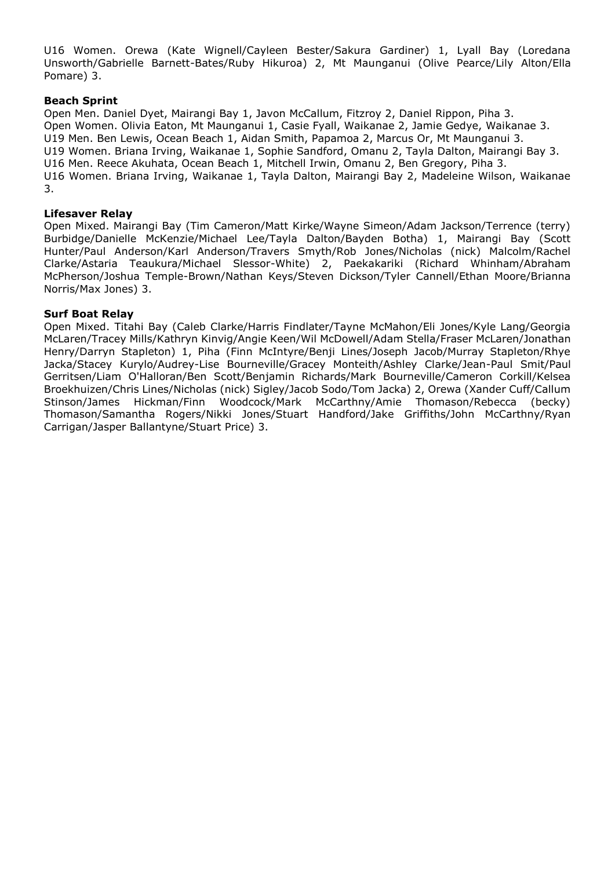U16 Women. Orewa (Kate Wignell/Cayleen Bester/Sakura Gardiner) 1, Lyall Bay (Loredana Unsworth/Gabrielle Barnett-Bates/Ruby Hikuroa) 2, Mt Maunganui (Olive Pearce/Lily Alton/Ella Pomare) 3.

#### **Beach Sprint**

Open Men. Daniel Dyet, Mairangi Bay 1, Javon McCallum, Fitzroy 2, Daniel Rippon, Piha 3. Open Women. Olivia Eaton, Mt Maunganui 1, Casie Fyall, Waikanae 2, Jamie Gedye, Waikanae 3. U19 Men. Ben Lewis, Ocean Beach 1, Aidan Smith, Papamoa 2, Marcus Or, Mt Maunganui 3. U19 Women. Briana Irving, Waikanae 1, Sophie Sandford, Omanu 2, Tayla Dalton, Mairangi Bay 3. U16 Men. Reece Akuhata, Ocean Beach 1, Mitchell Irwin, Omanu 2, Ben Gregory, Piha 3. U16 Women. Briana Irving, Waikanae 1, Tayla Dalton, Mairangi Bay 2, Madeleine Wilson, Waikanae 3.

#### **Lifesaver Relay**

Open Mixed. Mairangi Bay (Tim Cameron/Matt Kirke/Wayne Simeon/Adam Jackson/Terrence (terry) Burbidge/Danielle McKenzie/Michael Lee/Tayla Dalton/Bayden Botha) 1, Mairangi Bay (Scott Hunter/Paul Anderson/Karl Anderson/Travers Smyth/Rob Jones/Nicholas (nick) Malcolm/Rachel Clarke/Astaria Teaukura/Michael Slessor-White) 2, Paekakariki (Richard Whinham/Abraham McPherson/Joshua Temple-Brown/Nathan Keys/Steven Dickson/Tyler Cannell/Ethan Moore/Brianna Norris/Max Jones) 3.

#### **Surf Boat Relay**

Open Mixed. Titahi Bay (Caleb Clarke/Harris Findlater/Tayne McMahon/Eli Jones/Kyle Lang/Georgia McLaren/Tracey Mills/Kathryn Kinvig/Angie Keen/Wil McDowell/Adam Stella/Fraser McLaren/Jonathan Henry/Darryn Stapleton) 1, Piha (Finn McIntyre/Benji Lines/Joseph Jacob/Murray Stapleton/Rhye Jacka/Stacey Kurylo/Audrey-Lise Bourneville/Gracey Monteith/Ashley Clarke/Jean-Paul Smit/Paul Gerritsen/Liam O'Halloran/Ben Scott/Benjamin Richards/Mark Bourneville/Cameron Corkill/Kelsea Broekhuizen/Chris Lines/Nicholas (nick) Sigley/Jacob Sodo/Tom Jacka) 2, Orewa (Xander Cuff/Callum Stinson/James Hickman/Finn Woodcock/Mark McCarthny/Amie Thomason/Rebecca (becky) Thomason/Samantha Rogers/Nikki Jones/Stuart Handford/Jake Griffiths/John McCarthny/Ryan Carrigan/Jasper Ballantyne/Stuart Price) 3.